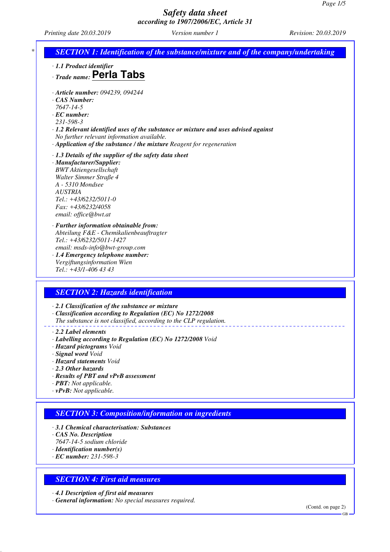*Printing date 20.03.2019 Version number 1 Revision: 20.03.2019*

| · 1.1 Product identifier<br>$\cdot$ Trade name: Perla Tabs                                                                                                                                                                                                                                                          |
|---------------------------------------------------------------------------------------------------------------------------------------------------------------------------------------------------------------------------------------------------------------------------------------------------------------------|
| · Article number: 094239, 094244<br>CAS Number:<br>7647-14-5<br>$\cdot$ EC number:<br>231-598-3<br>$\cdot$ 1.2 Relevant identified uses of the substance or mixture and uses advised against<br>No further relevant information available.<br>· Application of the substance / the mixture Reagent for regeneration |
| $\cdot$ 1.3 Details of the supplier of the safety data sheet<br>· Manufacturer/Supplier:<br><b>BWT</b> Aktiengesellschaft<br>Walter Simmer Straße 4<br>A - 5310 Mondsee<br><b>AUSTRIA</b><br>$Tel.: +43/6232/5011-0$<br>$Fax: +43/6232/4058$<br>email: office@bwt.at                                                |
| · Further information obtainable from:<br>Abteilung F&E - Chemikalienbeauftragter<br>Tel.: +43/6232/5011-1427<br>email: msds-info@bwt-group.com<br>· 1.4 Emergency telephone number:<br>Vergiftungsinformation Wien<br>Tel.: +43/1-406 43 43                                                                        |

*· 2.1 Classification of the substance or mixture*

*· Classification according to Regulation (EC) No 1272/2008 The substance is not classified, according to the CLP regulation.*

*· 2.2 Label elements*

- *· Labelling according to Regulation (EC) No 1272/2008 Void*
- *· Hazard pictograms Void*
- *· Signal word Void*
- *· Hazard statements Void*
- *· 2.3 Other hazards*
- *· Results of PBT and vPvB assessment*
- *· PBT: Not applicable.*
- *· vPvB: Not applicable.*

## *SECTION 3: Composition/information on ingredients*

- *· 3.1 Chemical characterisation: Substances*
- *· CAS No. Description*
- *7647-14-5 sodium chloride*
- *· Identification number(s)*
- *· EC number: 231-598-3*

#### *SECTION 4: First aid measures*

*· 4.1 Description of first aid measures*

*· General information: No special measures required.*

(Contd. on page 2)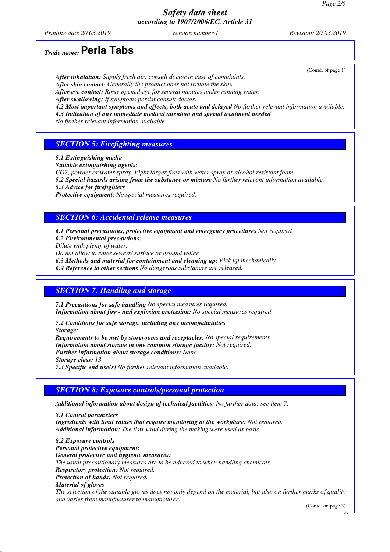*Printing date 20.03.2019 Version number 1 Revision: 20.03.2019*

(Contd. of page 1)

*Trade name:***Perla Tabs**

- *· After inhalation: Supply fresh air; consult doctor in case of complaints.*
- *· After skin contact: Generally the product does not irritate the skin.*
- *· After eye contact: Rinse opened eye for several minutes under running water.*
- *· After swallowing: If symptoms persist consult doctor.*
- *· 4.2 Most important symptoms and effects, both acute and delayed No further relevant information available.*
- *· 4.3 Indication of any immediate medical attention and special treatment needed*

*No further relevant information available.*

### *SECTION 5: Firefighting measures*

- *· 5.1 Extinguishing media*
- *· Suitable extinguishing agents:*
- *CO2, powder or water spray. Fight larger fires with water spray or alcohol resistant foam.*
- *· 5.2 Special hazards arising from the substance or mixture No further relevant information available.*
- *· 5.3 Advice for firefighters*
- *· Protective equipment: No special measures required.*

#### *SECTION 6: Accidental release measures*

- *· 6.1 Personal precautions, protective equipment and emergency procedures Not required.*
- *· 6.2 Environmental precautions:*
- *Dilute with plenty of water. Do not allow to enter sewers/ surface or ground water.*
- *· 6.3 Methods and material for containment and cleaning up: Pick up mechanically.*
- *· 6.4 Reference to other sections No dangerous substances are released.*

## *SECTION 7: Handling and storage*

- *· 7.1 Precautions for safe handling No special measures required.*
- *· Information about fire and explosion protection: No special measures required.*
- *· 7.2 Conditions for safe storage, including any incompatibilities*
- *· Storage:*
- *· Requirements to be met by storerooms and receptacles: No special requirements.*
- *· Information about storage in one common storage facility: Not required.*
- *· Further information about storage conditions: None.*
- *· Storage class: 13*
- *· 7.3 Specific end use(s) No further relevant information available.*

#### *SECTION 8: Exposure controls/personal protection*

- *· Additional information about design of technical facilities: No further data; see item 7.*
- *· 8.1 Control parameters*
- *· Ingredients with limit values that require monitoring at the workplace: Not required.*
- *· Additional information: The lists valid during the making were used as basis.*
- *· 8.2 Exposure controls*
- *· Personal protective equipment:*
- *· General protective and hygienic measures:*
- *The usual precautionary measures are to be adhered to when handling chemicals.*
- *· Respiratory protection: Not required.*
- *· Protection of hands: Not required.*
- *· Material of gloves*

*The selection of the suitable gloves does not only depend on the material, but also on further marks of quality and varies from manufacturer to manufacturer.*

(Contd. on page 3)

GB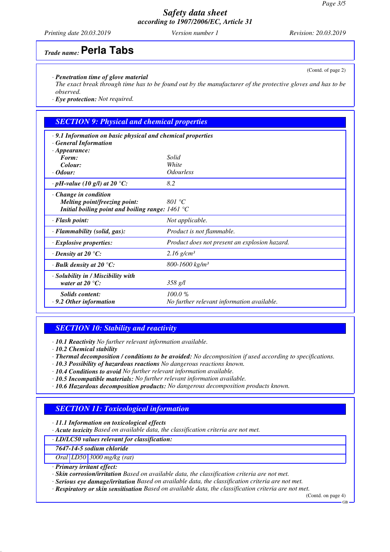*Printing date 20.03.2019 Version number 1 Revision: 20.03.2019*

# *Trade name:***Perla Tabs**

#### *· Penetration time of glove material*

*The exact break through time has to be found out by the manufacturer of the protective gloves and has to be observed.*

*· Eye protection: Not required.*

# *SECTION 9: Physical and chemical properties*

| $\cdot$ 9.1 Information on basic physical and chemical properties<br>· General Information |                                               |
|--------------------------------------------------------------------------------------------|-----------------------------------------------|
| $\cdot$ Appearance:                                                                        |                                               |
| Form:                                                                                      | Solid                                         |
| Colour:                                                                                    | White                                         |
| $\cdot$ Odour:                                                                             | <i><b>Odourless</b></i>                       |
| $\cdot$ pH-value (10 g/l) at 20 °C:                                                        | 8.2                                           |
| $\cdot$ Change in condition<br>Melting point/freezing point:                               | 801 °C                                        |
| Initial boiling point and boiling range: $1461^{\circ}$ C                                  |                                               |
| $\cdot$ Flash point:                                                                       | Not applicable.                               |
| $\cdot$ Flammability (solid, gas):                                                         | Product is not flammable.                     |
| $\cdot$ Explosive properties:                                                              | Product does not present an explosion hazard. |
| $\cdot$ Density at 20 $\degree$ C:                                                         | $2.16$ g/cm <sup>3</sup>                      |
| $\cdot$ Bulk density at 20 $\degree$ C:                                                    | $800 - 1600$ kg/m <sup>3</sup>                |
| · Solubility in / Miscibility with                                                         |                                               |
| water at 20 $^{\circ}$ C:                                                                  | $358$ g/l                                     |
| Solids content:                                                                            | 100.0%                                        |
| $\cdot$ 9.2 Other information                                                              | No further relevant information available.    |

# *SECTION 10: Stability and reactivity*

*· 10.1 Reactivity No further relevant information available.*

*· Thermal decomposition / conditions to be avoided: No decomposition if used according to specifications.*

- *· 10.3 Possibility of hazardous reactions No dangerous reactions known.*
- *· 10.4 Conditions to avoid No further relevant information available.*
- *· 10.5 Incompatible materials: No further relevant information available.*
- *· 10.6 Hazardous decomposition products: No dangerous decomposition products known.*

## *SECTION 11: Toxicological information*

*· 11.1 Information on toxicological effects*

*· Acute toxicity Based on available data, the classification criteria are not met.*

#### *· LD/LC50 values relevant for classification:*

*7647-14-5 sodium chloride*

*Oral LD50 3000 mg/kg (rat)*

*· Primary irritant effect:*

*· Skin corrosion/irritation Based on available data, the classification criteria are not met.*

*· Serious eye damage/irritation Based on available data, the classification criteria are not met.*

*· Respiratory or skin sensitisation Based on available data, the classification criteria are not met.*

(Contd. on page 4) GB

*<sup>·</sup> 10.2 Chemical stability*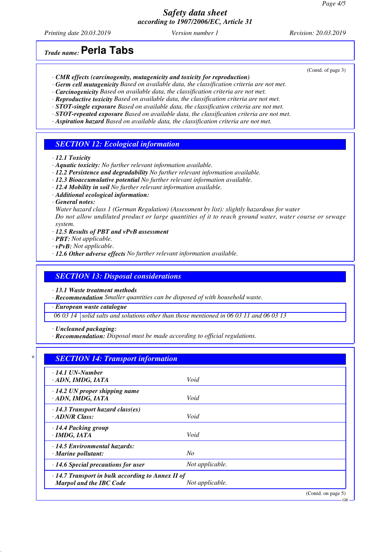*Printing date 20.03.2019 Version number 1 Revision: 20.03.2019*

# *Trade name:***Perla Tabs**

- *· CMR effects (carcinogenity, mutagenicity and toxicity for reproduction)*
- *· Germ cell mutagenicity Based on available data, the classification criteria are not met.*
- *· Carcinogenicity Based on available data, the classification criteria are not met.*
- *· Reproductive toxicity Based on available data, the classification criteria are not met.*
- *· STOT-single exposure Based on available data, the classification criteria are not met.*
- *· STOT-repeated exposure Based on available data, the classification criteria are not met.*
- *· Aspiration hazard Based on available data, the classification criteria are not met.*

### *SECTION 12: Ecological information*

- *· 12.1 Toxicity*
- *· Aquatic toxicity: No further relevant information available.*
- *· 12.2 Persistence and degradability No further relevant information available.*
- *· 12.3 Bioaccumulative potential No further relevant information available.*
- *· 12.4 Mobility in soil No further relevant information available.*
- *· Additional ecological information:*
- *· General notes:*
- *Water hazard class 1 (German Regulation) (Assessment by list): slightly hazardous for water Do not allow undiluted product or large quantities of it to reach ground water, water course or sewage system.*
- *· 12.5 Results of PBT and vPvB assessment*
- *· PBT: Not applicable.*
- *· vPvB: Not applicable.*
- *· 12.6 Other adverse effects No further relevant information available.*

#### *SECTION 13: Disposal considerations*

*· 13.1 Waste treatment methods*

*· Recommendation Smaller quantities can be disposed of with household waste.*

*· European waste catalogue*

*06 03 14 solid salts and solutions other than those mentioned in 06 03 11 and 06 03 13*

*· Uncleaned packaging:*

*· Recommendation: Disposal must be made according to official regulations.*

| $\cdot$ 14.1 UN-Number                                  |                 |  |
|---------------------------------------------------------|-----------------|--|
| · ADN, IMDG, IATA                                       | Void            |  |
| $\cdot$ 14.2 UN proper shipping name                    |                 |  |
| · ADN, IMDG, IATA                                       | Void            |  |
| $\cdot$ 14.3 Transport hazard class(es)                 |                 |  |
| $\cdot$ ADN/R Class:                                    | Void            |  |
| · 14.4 Packing group                                    |                 |  |
| $\cdot$ IMDG, IATA                                      | Void            |  |
| · 14.5 Environmental hazards:                           |                 |  |
| $\cdot$ Marine pollutant:                               | No              |  |
| $\cdot$ 14.6 Special precautions for user               | Not applicable. |  |
| $\cdot$ 14.7 Transport in bulk according to Annex II of |                 |  |
| <b>Marpol and the IBC Code</b>                          | Not applicable. |  |

(Contd. of page 3)

GB